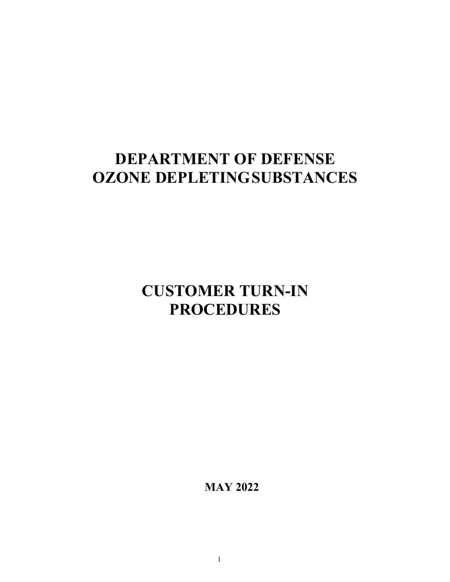# **DEPARTMENT OF DEFENSE OZONE DEPLETINGSUBSTANCES**

**CUSTOMER TURN-IN PROCEDURES**

**MAY 2022**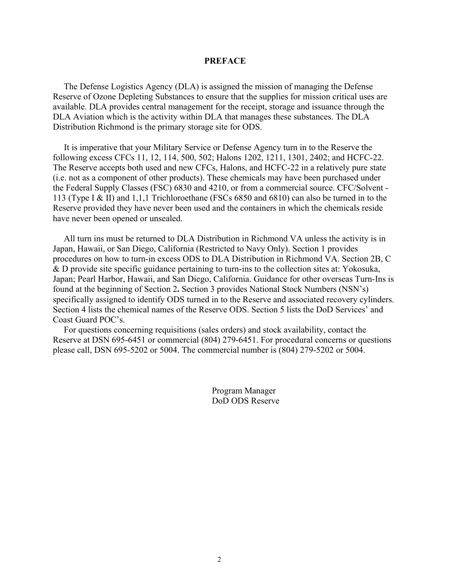#### **PREFACE**

The Defense Logistics Agency (DLA) is assigned the mission of managing the Defense Reserve of Ozone Depleting Substances to ensure that the supplies for mission critical uses are available. DLA provides central management for the receipt, storage and issuance through the DLA Aviation which is the activity within DLA that manages these substances. The DLA Distribution Richmond is the primary storage site for ODS.

It is imperative that your Military Service or Defense Agency turn in to the Reserve the following excess CFCs 11, 12, 114, 500, 502; Halons 1202, 1211, 1301, 2402; and HCFC-22. The Reserve accepts both used and new CFCs, Halons, and HCFC-22 in a relatively pure state (i.e. not as a component of other products). These chemicals may have been purchased under the Federal Supply Classes (FSC) 6830 and 4210, or from a commercial source. CFC/Solvent - 113 (Type I & II) and 1,1,1 Trichloroethane (FSCs 6850 and 6810) can also be turned in to the Reserve provided they have never been used and the containers in which the chemicals reside have never been opened or unsealed.

All turn ins must be returned to DLA Distribution in Richmond VA unless the activity is in Japan, Hawaii, or San Diego, California (Restricted to Navy Only). Section 1 provides procedures on how to turn-in excess ODS to DLA Distribution in Richmond VA. Section 2B, C & D provide site specific guidance pertaining to turn-ins to the collection sites at: Yokosuka, Japan; Pearl Harbor, Hawaii, and San Diego, California. Guidance for other overseas Turn-Ins is found at the beginning of Section 2**.** Section 3 provides National Stock Numbers (NSN's) specifically assigned to identify ODS turned in to the Reserve and associated recovery cylinders. Section 4 lists the chemical names of the Reserve ODS. Section 5 lists the DoD Services' and Coast Guard POC's.

For questions concerning requisitions (sales orders) and stock availability, contact the Reserve at DSN 695-6451 or commercial (804) 279-6451. For procedural concerns or questions please call, DSN 695-5202 or 5004. The commercial number is (804) 279-5202 or 5004.

> Program Manager DoD ODS Reserve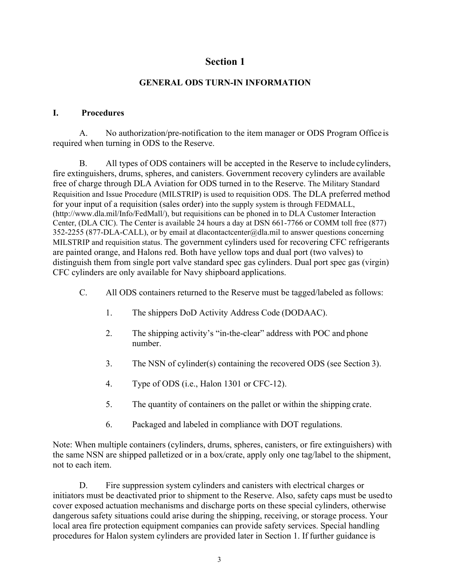## **GENERAL ODS TURN-IN INFORMATION**

### **I. Procedures**

A. No authorization/pre-notification to the item manager or ODS Program Office is required when turning in ODS to the Reserve.

B. All types of ODS containers will be accepted in the Reserve to include cylinders, fire extinguishers, drums, spheres, and canisters. Government recovery cylinders are available free of charge through DLA Aviation for ODS turned in to the Reserve. The Military Standard Requisition and Issue Procedure (MILSTRIP) is used to requisition ODS. The DLA preferred method for your input of a requisition (sales order) into the supply system is through FEDMALL, [\(http://www.dla.mil/Info/FedMall/\), b](http://www.dla.mil/Info/FedMall/))ut requisitions can be phoned in to DLA Customer Interaction Center, (DLA CIC). The Center is available 24 hours a day at DSN 661-7766 or COMM toll free (877) 352-2255 (877-DLA-CALL), or by email at [dlacontactcenter@dla.mil t](mailto:dlacontactcenter@dla.mil)o answer questions concerning MILSTRIP and requisition status. The government cylinders used for recovering CFC refrigerants are painted orange, and Halons red. Both have yellow tops and dual port (two valves) to distinguish them from single port valve standard spec gas cylinders. Dual port spec gas (virgin) CFC cylinders are only available for Navy shipboard applications.

- C. All ODS containers returned to the Reserve must be tagged/labeled as follows:
	- 1. The shippers DoD Activity Address Code (DODAAC).
	- 2. The shipping activity's "in-the-clear" address with POC and phone number.
	- 3. The NSN of cylinder(s) containing the recovered ODS (see Section 3).
	- 4. Type of ODS (i.e., Halon 1301 or CFC-12).
	- 5. The quantity of containers on the pallet or within the shipping crate.
	- 6. Packaged and labeled in compliance with DOT regulations.

Note: When multiple containers (cylinders, drums, spheres, canisters, or fire extinguishers) with the same NSN are shipped palletized or in a box/crate, apply only one tag/label to the shipment, not to each item.

D. Fire suppression system cylinders and canisters with electrical charges or initiators must be deactivated prior to shipment to the Reserve. Also, safety caps must be usedto cover exposed actuation mechanisms and discharge ports on these special cylinders, otherwise dangerous safety situations could arise during the shipping, receiving, or storage process. Your local area fire protection equipment companies can provide safety services. Special handling procedures for Halon system cylinders are provided later in Section 1. If further guidance is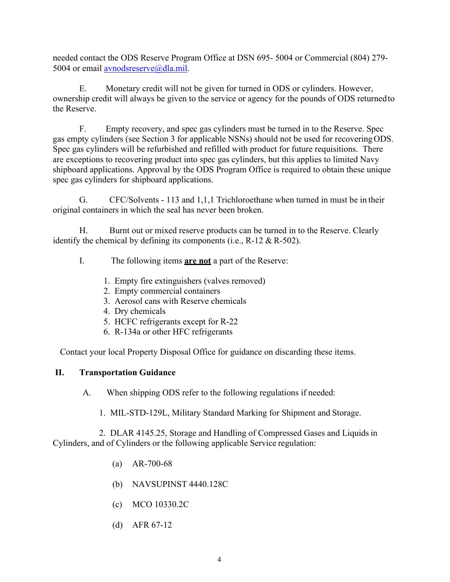needed contact the ODS Reserve Program Office at DSN 695- 5004 or Commercial (804) 279 5004 or email [avnodsreserve@dla.mil.](mailto:avnodsreserve@dla.mil)

E. Monetary credit will not be given for turned in ODS or cylinders. However, ownership credit will always be given to the service or agency for the pounds of ODS returned to the Reserve.

F. Empty recovery, and spec gas cylinders must be turned in to the Reserve. Spec gas empty cylinders (see Section 3 for applicable NSNs) should not be used for recovering ODS. Spec gas cylinders will be refurbished and refilled with product for future requisitions. There are exceptions to recovering product into spec gas cylinders, but this applies to limited Navy shipboard applications. Approval by the ODS Program Office is required to obtain these unique spec gas cylinders for shipboard applications.

G. CFC/Solvents - 113 and 1,1,1 Trichloroethane when turned in must be in their original containers in which the seal has never been broken.

H. Burnt out or mixed reserve products can be turned in to the Reserve. Clearly identify the chemical by defining its components (i.e.,  $R-12 \& R-502$ ).

- I. The following items **are not** a part of the Reserve:
	- 1. Empty fire extinguishers (valves removed)
	- 2. Empty commercial containers
	- 3. Aerosol cans with Reserve chemicals
	- 4. Dry chemicals
	- 5. HCFC refrigerants except for R-22
	- 6. R-134a or other HFC refrigerants

Contact your local Property Disposal Office for guidance on discarding these items.

### **II. Transportation Guidance**

A. When shipping ODS refer to the following regulations if needed:

1. MIL-STD-129L, Military Standard Marking for Shipment and Storage.

2. DLAR 4145.25, Storage and Handling of Compressed Gases and Liquids in Cylinders, and of Cylinders or the following applicable Service regulation:

- (a) AR-700-68
- (b) NAVSUPINST 4440.128C
- (c) MCO 10330.2C
- (d) AFR 67-12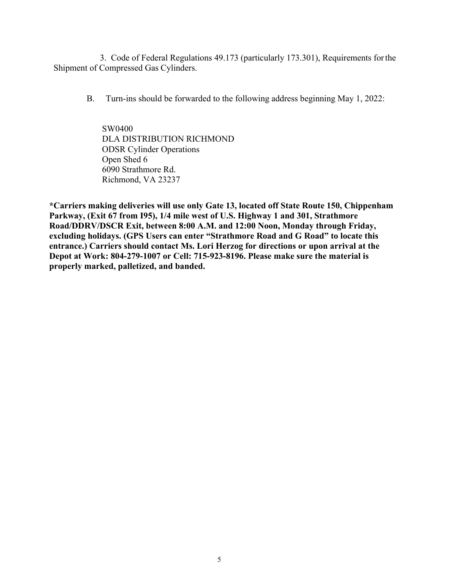3. Code of Federal Regulations 49.173 (particularly 173.301), Requirements forthe Shipment of Compressed Gas Cylinders.

B. Turn-ins should be forwarded to the following address beginning May 1, 2022:

SW0400 DLA DISTRIBUTION RICHMOND ODSR Cylinder Operations Open Shed 6 6090 Strathmore Rd. Richmond, VA 23237

**\*Carriers making deliveries will use only Gate 13, located off State Route 150, Chippenham Parkway, (Exit 67 from I95), 1/4 mile west of U.S. Highway 1 and 301, Strathmore Road/DDRV/DSCR Exit, between 8:00 A.M. and 12:00 Noon, Monday through Friday, excluding holidays. (GPS Users can enter "Strathmore Road and G Road" to locate this entrance.) Carriers should contact Ms. Lori Herzog for directions or upon arrival at the Depot at Work: 804-279-1007 or Cell: 715-923-8196. Please make sure the material is properly marked, palletized, and banded.**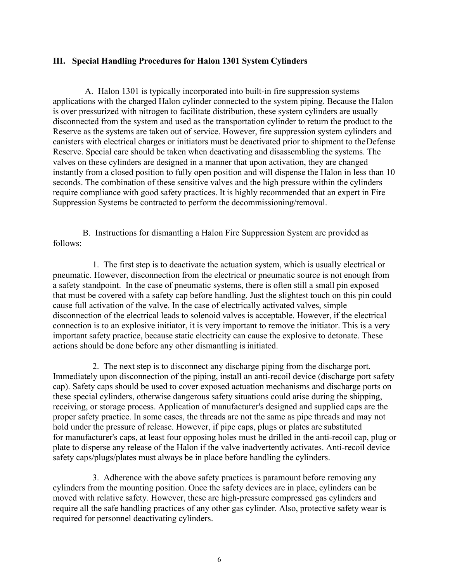### **III. Special Handling Procedures for Halon 1301 System Cylinders**

A. Halon 1301 is typically incorporated into built-in fire suppression systems applications with the charged Halon cylinder connected to the system piping. Because the Halon is over pressurized with nitrogen to facilitate distribution, these system cylinders are usually disconnected from the system and used as the transportation cylinder to return the product to the Reserve as the systems are taken out of service. However, fire suppression system cylinders and canisters with electrical charges or initiators must be deactivated prior to shipment to theDefense Reserve. Special care should be taken when deactivating and disassembling the systems. The valves on these cylinders are designed in a manner that upon activation, they are changed instantly from a closed position to fully open position and will dispense the Halon in less than 10 seconds. The combination of these sensitive valves and the high pressure within the cylinders require compliance with good safety practices. It is highly recommended that an expert in Fire Suppression Systems be contracted to perform the decommissioning/removal.

B. Instructions for dismantling a Halon Fire Suppression System are provided as follows:

1. The first step is to deactivate the actuation system, which is usually electrical or pneumatic. However, disconnection from the electrical or pneumatic source is not enough from a safety standpoint. In the case of pneumatic systems, there is often still a small pin exposed that must be covered with a safety cap before handling. Just the slightest touch on this pin could cause full activation of the valve. In the case of electrically activated valves, simple disconnection of the electrical leads to solenoid valves is acceptable. However, if the electrical connection is to an explosive initiator, it is very important to remove the initiator. This is a very important safety practice, because static electricity can cause the explosive to detonate. These actions should be done before any other dismantling is initiated.

2. The next step is to disconnect any discharge piping from the discharge port. Immediately upon disconnection of the piping, install an anti-recoil device (discharge port safety cap). Safety caps should be used to cover exposed actuation mechanisms and discharge ports on these special cylinders, otherwise dangerous safety situations could arise during the shipping, receiving, or storage process. Application of manufacturer's designed and supplied caps are the proper safety practice. In some cases, the threads are not the same as pipe threads and may not hold under the pressure of release. However, if pipe caps, plugs or plates are substituted for manufacturer's caps, at least four opposing holes must be drilled in the anti-recoil cap, plug or plate to disperse any release of the Halon if the valve inadvertently activates. Anti-recoil device safety caps/plugs/plates must always be in place before handling the cylinders.

3. Adherence with the above safety practices is paramount before removing any cylinders from the mounting position. Once the safety devices are in place, cylinders can be moved with relative safety. However, these are high-pressure compressed gas cylinders and require all the safe handling practices of any other gas cylinder. Also, protective safety wear is required for personnel deactivating cylinders.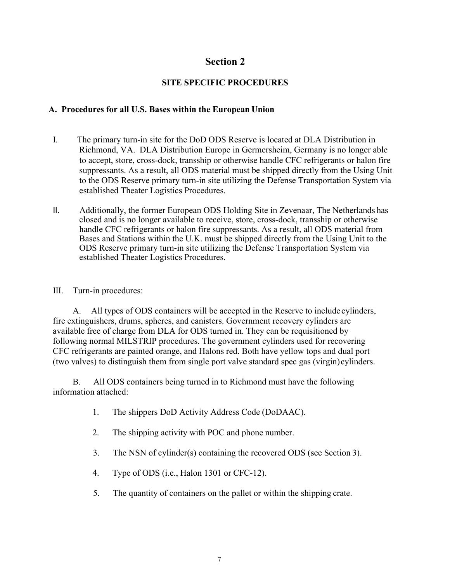### **SITE SPECIFIC PROCEDURES**

### **A. Procedures for all U.S. Bases within the European Union**

- I. The primary turn-in site for the DoD ODS Reserve is located at DLA Distribution in Richmond, VA. DLA Distribution Europe in Germersheim, Germany is no longer able to accept, store, cross-dock, transship or otherwise handle CFC refrigerants or halon fire suppressants. As a result, all ODS material must be shipped directly from the Using Unit to the ODS Reserve primary turn-in site utilizing the Defense Transportation System via established Theater Logistics Procedures.
- II. Additionally, the former European ODS Holding Site in Zevenaar, The Netherlands has closed and is no longer available to receive, store, cross-dock, transship or otherwise handle CFC refrigerants or halon fire suppressants. As a result, all ODS material from Bases and Stations within the U.K. must be shipped directly from the Using Unit to the ODS Reserve primary turn-in site utilizing the Defense Transportation System via established Theater Logistics Procedures.
- III. Turn-in procedures:

A. All types of ODS containers will be accepted in the Reserve to include cylinders, fire extinguishers, drums, spheres, and canisters. Government recovery cylinders are available free of charge from DLA for ODS turned in. They can be requisitioned by following normal MILSTRIP procedures. The government cylinders used for recovering CFC refrigerants are painted orange, and Halons red. Both have yellow tops and dual port (two valves) to distinguish them from single port valve standard spec gas (virgin)cylinders.

B. All ODS containers being turned in to Richmond must have the following information attached:

- 1. The shippers DoD Activity Address Code (DoDAAC).
- 2. The shipping activity with POC and phone number.
- 3. The NSN of cylinder(s) containing the recovered ODS (see Section 3).
- 4. Type of ODS (i.e., Halon 1301 or CFC-12).
- 5. The quantity of containers on the pallet or within the shipping crate.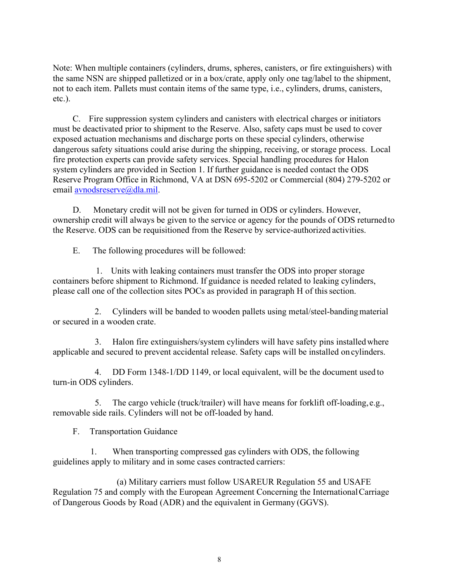Note: When multiple containers (cylinders, drums, spheres, canisters, or fire extinguishers) with the same NSN are shipped palletized or in a box/crate, apply only one tag/label to the shipment, not to each item. Pallets must contain items of the same type, i.e., cylinders, drums, canisters, etc.).

C. Fire suppression system cylinders and canisters with electrical charges or initiators must be deactivated prior to shipment to the Reserve. Also, safety caps must be used to cover exposed actuation mechanisms and discharge ports on these special cylinders, otherwise dangerous safety situations could arise during the shipping, receiving, or storage process. Local fire protection experts can provide safety services. Special handling procedures for Halon system cylinders are provided in Section 1. If further guidance is needed contact the ODS Reserve Program Office in Richmond, VA at DSN 695-5202 or Commercial (804) 279-5202 or email [avnodsreserve@dla.mil.](mailto:avnodsreserve@dla.mil)

D. Monetary credit will not be given for turned in ODS or cylinders. However, ownership credit will always be given to the service or agency for the pounds of ODS returned to the Reserve. ODS can be requisitioned from the Reserve by service-authorized activities.

E. The following procedures will be followed:

1. Units with leaking containers must transfer the ODS into proper storage containers before shipment to Richmond. If guidance is needed related to leaking cylinders, please call one of the collection sites POCs as provided in paragraph H of this section.

2. Cylinders will be banded to wooden pallets using metal/steel-banding material or secured in a wooden crate.

3. Halon fire extinguishers/system cylinders will have safety pins installedwhere applicable and secured to prevent accidental release. Safety caps will be installed on cylinders.

4. DD Form 1348-1/DD 1149, or local equivalent, will be the document used to turn-in ODS cylinders.

5. The cargo vehicle (truck/trailer) will have means for forklift off-loading, e.g., removable side rails. Cylinders will not be off-loaded by hand.

F. Transportation Guidance

1. When transporting compressed gas cylinders with ODS, the following guidelines apply to military and in some cases contracted carriers:

(a) Military carriers must follow USAREUR Regulation 55 and USAFE Regulation 75 and comply with the European Agreement Concerning the International Carriage of Dangerous Goods by Road (ADR) and the equivalent in Germany (GGVS).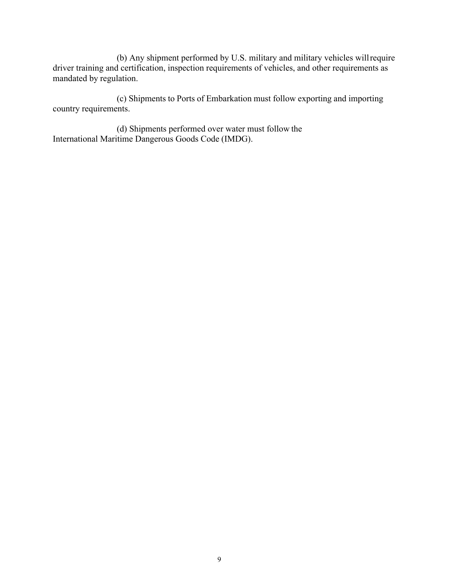(b) Any shipment performed by U.S. military and military vehicles willrequire driver training and certification, inspection requirements of vehicles, and other requirements as mandated by regulation.

(c) Shipments to Ports of Embarkation must follow exporting and importing country requirements.

(d) Shipments performed over water must follow the International Maritime Dangerous Goods Code (IMDG).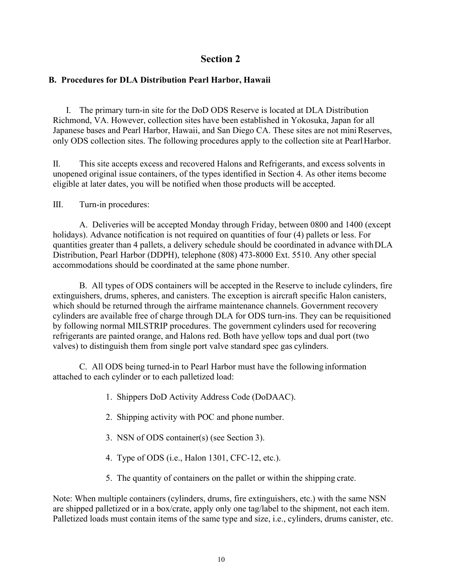### **B. Procedures for DLA Distribution Pearl Harbor, Hawaii**

I. The primary turn-in site for the DoD ODS Reserve is located at DLA Distribution Richmond, VA. However, collection sites have been established in Yokosuka, Japan for all Japanese bases and Pearl Harbor, Hawaii, and San Diego CA. These sites are not mini Reserves, only ODS collection sites. The following procedures apply to the collection site at PearlHarbor.

II. This site accepts excess and recovered Halons and Refrigerants, and excess solvents in unopened original issue containers, of the types identified in Section 4. As other items become eligible at later dates, you will be notified when those products will be accepted.

III. Turn-in procedures:

A. Deliveries will be accepted Monday through Friday, between 0800 and 1400 (except holidays). Advance notification is not required on quantities of four (4) pallets or less. For quantities greater than 4 pallets, a delivery schedule should be coordinated in advance withDLA Distribution, Pearl Harbor (DDPH), telephone (808) 473-8000 Ext. 5510. Any other special accommodations should be coordinated at the same phone number.

B. All types of ODS containers will be accepted in the Reserve to include cylinders, fire extinguishers, drums, spheres, and canisters. The exception is aircraft specific Halon canisters, which should be returned through the airframe maintenance channels. Government recovery cylinders are available free of charge through DLA for ODS turn-ins. They can be requisitioned by following normal MILSTRIP procedures. The government cylinders used for recovering refrigerants are painted orange, and Halons red. Both have yellow tops and dual port (two valves) to distinguish them from single port valve standard spec gas cylinders.

C. All ODS being turned-in to Pearl Harbor must have the following information attached to each cylinder or to each palletized load:

- 1. Shippers DoD Activity Address Code (DoDAAC).
- 2. Shipping activity with POC and phone number.
- 3. NSN of ODS container(s) (see Section 3).
- 4. Type of ODS (i.e., Halon 1301, CFC-12, etc.).
- 5. The quantity of containers on the pallet or within the shipping crate.

Note: When multiple containers (cylinders, drums, fire extinguishers, etc.) with the same NSN are shipped palletized or in a box/crate, apply only one tag/label to the shipment, not each item. Palletized loads must contain items of the same type and size, i.e., cylinders, drums canister, etc.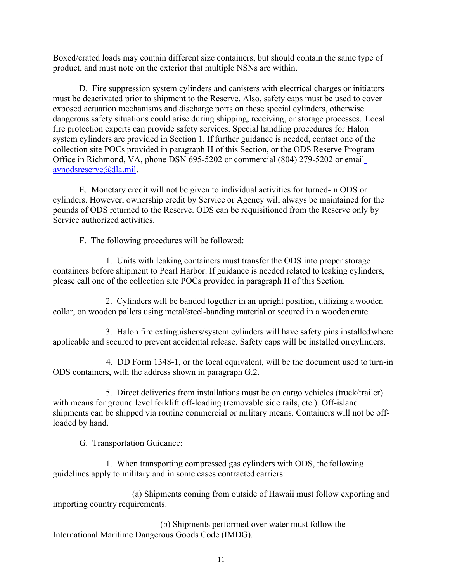Boxed/crated loads may contain different size containers, but should contain the same type of product, and must note on the exterior that multiple NSNs are within.

D. Fire suppression system cylinders and canisters with electrical charges or initiators must be deactivated prior to shipment to the Reserve. Also, safety caps must be used to cover exposed actuation mechanisms and discharge ports on these special cylinders, otherwise dangerous safety situations could arise during shipping, receiving, or storage processes. Local fire protection experts can provide safety services. Special handling procedures for Halon system cylinders are provided in Section 1. If further guidance is needed, contact one of the collection site POCs provided in paragraph H of this Section, or the ODS Reserve Program Office in Richmond, VA, phone DSN 695-5202 or commercial (804) 279-5202 or emai[l](mailto:avnodsreserve@dla.mil) [avnodsreserve@dla.mil.](mailto:avnodsreserve@dla.mil)

E. Monetary credit will not be given to individual activities for turned-in ODS or cylinders. However, ownership credit by Service or Agency will always be maintained for the pounds of ODS returned to the Reserve. ODS can be requisitioned from the Reserve only by Service authorized activities.

F. The following procedures will be followed:

1. Units with leaking containers must transfer the ODS into proper storage containers before shipment to Pearl Harbor. If guidance is needed related to leaking cylinders, please call one of the collection site POCs provided in paragraph H of this Section.

2. Cylinders will be banded together in an upright position, utilizing a wooden collar, on wooden pallets using metal/steel-banding material or secured in a wooden crate.

3. Halon fire extinguishers/system cylinders will have safety pins installedwhere applicable and secured to prevent accidental release. Safety caps will be installed on cylinders.

4. DD Form 1348-1, or the local equivalent, will be the document used to turn-in ODS containers, with the address shown in paragraph G.2.

5. Direct deliveries from installations must be on cargo vehicles (truck/trailer) with means for ground level forklift off-loading (removable side rails, etc.). Off-island shipments can be shipped via routine commercial or military means. Containers will not be offloaded by hand.

G. Transportation Guidance:

1. When transporting compressed gas cylinders with ODS, the following guidelines apply to military and in some cases contracted carriers:

(a) Shipments coming from outside of Hawaii must follow exporting and importing country requirements.

(b) Shipments performed over water must follow the International Maritime Dangerous Goods Code (IMDG).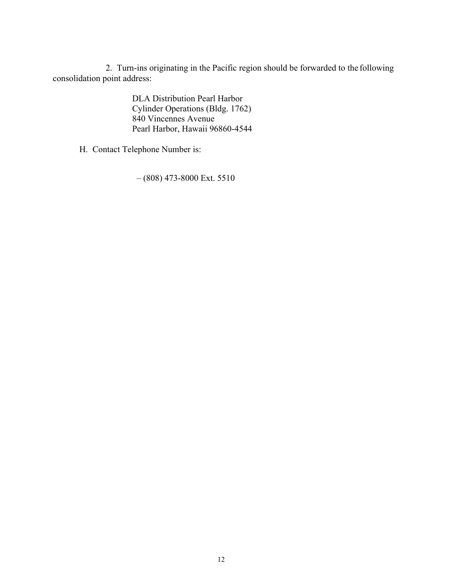2. Turn-ins originating in the Pacific region should be forwarded to the following consolidation point address:

> DLA Distribution Pearl Harbor Cylinder Operations (Bldg. 1762) 840 Vincennes Avenue Pearl Harbor, Hawaii 96860-4544

H. Contact Telephone Number is:

– (808) 473-8000 Ext. 5510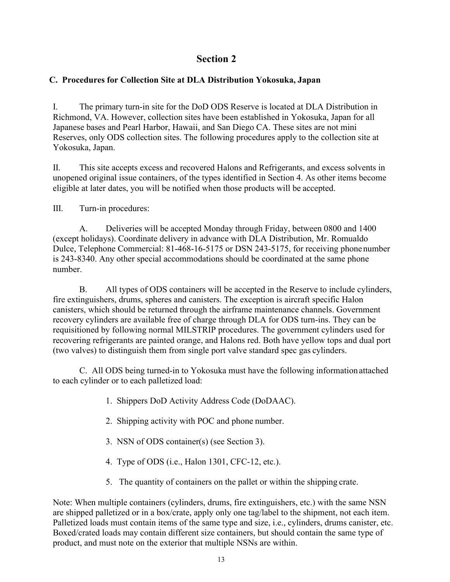### **C. Procedures for Collection Site at DLA Distribution Yokosuka, Japan**

I. The primary turn-in site for the DoD ODS Reserve is located at DLA Distribution in Richmond, VA. However, collection sites have been established in Yokosuka, Japan for all Japanese bases and Pearl Harbor, Hawaii, and San Diego CA. These sites are not mini Reserves, only ODS collection sites. The following procedures apply to the collection site at Yokosuka, Japan.

II. This site accepts excess and recovered Halons and Refrigerants, and excess solvents in unopened original issue containers, of the types identified in Section 4. As other items become eligible at later dates, you will be notified when those products will be accepted.

III. Turn-in procedures:

A. Deliveries will be accepted Monday through Friday, between 0800 and 1400 (except holidays). Coordinate delivery in advance with DLA Distribution, Mr. Romualdo Dulce, Telephone Commercial: 81-468-16-5175 or DSN 243-5175, for receiving phonenumber is 243-8340. Any other special accommodations should be coordinated at the same phone number.

B. All types of ODS containers will be accepted in the Reserve to include cylinders, fire extinguishers, drums, spheres and canisters. The exception is aircraft specific Halon canisters, which should be returned through the airframe maintenance channels. Government recovery cylinders are available free of charge through DLA for ODS turn-ins. They can be requisitioned by following normal MILSTRIP procedures. The government cylinders used for recovering refrigerants are painted orange, and Halons red. Both have yellow tops and dual port (two valves) to distinguish them from single port valve standard spec gas cylinders.

C. All ODS being turned-in to Yokosuka must have the following information attached to each cylinder or to each palletized load:

- 1. Shippers DoD Activity Address Code (DoDAAC).
- 2. Shipping activity with POC and phone number.
- 3. NSN of ODS container(s) (see Section 3).
- 4. Type of ODS (i.e., Halon 1301, CFC-12, etc.).
- 5. The quantity of containers on the pallet or within the shipping crate.

Note: When multiple containers (cylinders, drums, fire extinguishers, etc.) with the same NSN are shipped palletized or in a box/crate, apply only one tag/label to the shipment, not each item. Palletized loads must contain items of the same type and size, i.e., cylinders, drums canister, etc. Boxed/crated loads may contain different size containers, but should contain the same type of product, and must note on the exterior that multiple NSNs are within.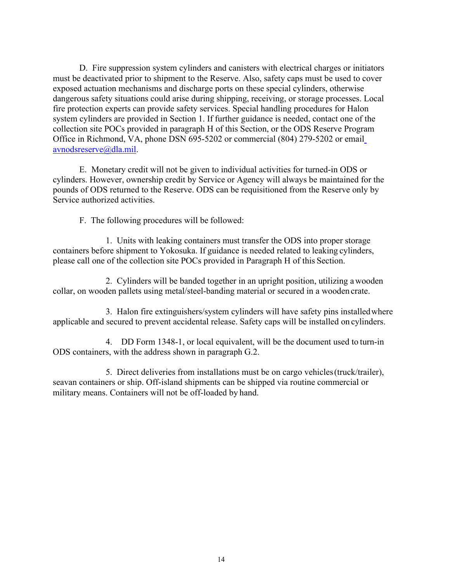D. Fire suppression system cylinders and canisters with electrical charges or initiators must be deactivated prior to shipment to the Reserve. Also, safety caps must be used to cover exposed actuation mechanisms and discharge ports on these special cylinders, otherwise dangerous safety situations could arise during shipping, receiving, or storage processes. Local fire protection experts can provide safety services. Special handling procedures for Halon system cylinders are provided in Section 1. If further guidance is needed, contact one of the collection site POCs provided in paragraph H of this Section, or the ODS Reserve Program Office in Richmond, VA, phone DSN 695-5202 or commercial (804) 279-5202 or emai[l](mailto:avnodsreserve@dla.mil) [avnodsreserve@dla.mil.](mailto:avnodsreserve@dla.mil)

E. Monetary credit will not be given to individual activities for turned-in ODS or cylinders. However, ownership credit by Service or Agency will always be maintained for the pounds of ODS returned to the Reserve. ODS can be requisitioned from the Reserve only by Service authorized activities.

F. The following procedures will be followed:

1. Units with leaking containers must transfer the ODS into proper storage containers before shipment to Yokosuka. If guidance is needed related to leaking cylinders, please call one of the collection site POCs provided in Paragraph H of this Section.

2. Cylinders will be banded together in an upright position, utilizing a wooden collar, on wooden pallets using metal/steel-banding material or secured in a wooden crate.

3. Halon fire extinguishers/system cylinders will have safety pins installedwhere applicable and secured to prevent accidental release. Safety caps will be installed on cylinders.

4. DD Form 1348-1, or local equivalent, will be the document used to turn-in ODS containers, with the address shown in paragraph G.2.

5. Direct deliveries from installations must be on cargo vehicles(truck/trailer), seavan containers or ship. Off-island shipments can be shipped via routine commercial or military means. Containers will not be off-loaded by hand.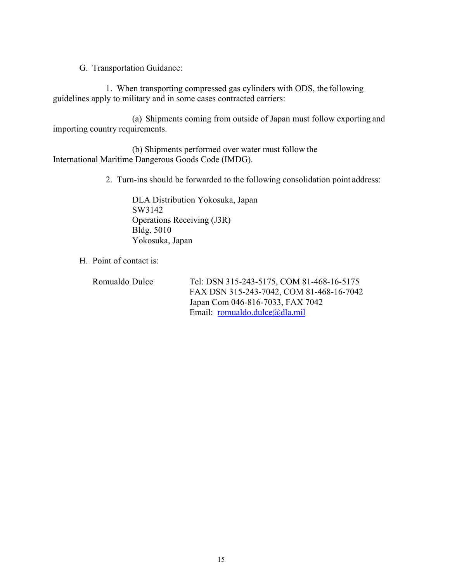G. Transportation Guidance:

1. When transporting compressed gas cylinders with ODS, the following guidelines apply to military and in some cases contracted carriers:

(a) Shipments coming from outside of Japan must follow exporting and importing country requirements.

(b) Shipments performed over water must follow the International Maritime Dangerous Goods Code (IMDG).

2. Turn-ins should be forwarded to the following consolidation point address:

DLA Distribution Yokosuka, Japan SW3142 Operations Receiving (J3R) Bldg. 5010 Yokosuka, Japan

H. Point of contact is:

Romualdo Dulce Tel: DSN 315-243-5175, COM 81-468-16-5175 FAX DSN 315-243-7042, COM 81-468-16-7042 Japan Com 046-816-7033, FAX 7042 Email: [romualdo.dulce@dla.mil](mailto:romualdo.dulce@dla.mil)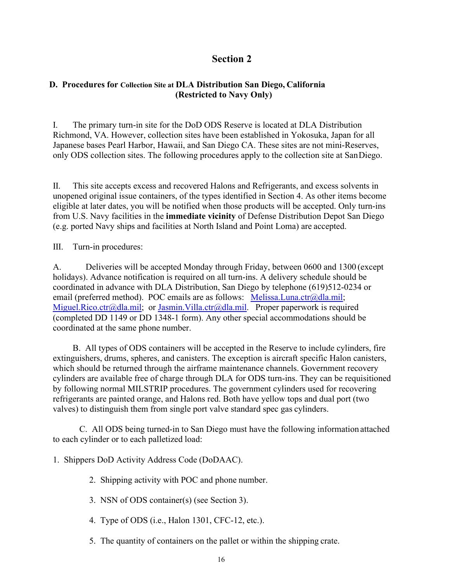### **D. Procedures for Collection Site at DLA Distribution San Diego, California (Restricted to Navy Only)**

I. The primary turn-in site for the DoD ODS Reserve is located at DLA Distribution Richmond, VA. However, collection sites have been established in Yokosuka, Japan for all Japanese bases Pearl Harbor, Hawaii, and San Diego CA. These sites are not mini-Reserves, only ODS collection sites. The following procedures apply to the collection site at San Diego.

II. This site accepts excess and recovered Halons and Refrigerants, and excess solvents in unopened original issue containers, of the types identified in Section 4. As other items become eligible at later dates, you will be notified when those products will be accepted. Only turn-ins from U.S. Navy facilities in the **immediate vicinity** of Defense Distribution Depot San Diego (e.g. ported Navy ships and facilities at North Island and Point Loma) are accepted.

III. Turn-in procedures:

A. Deliveries will be accepted Monday through Friday, between 0600 and 1300 (except holidays). Advance notification is required on all turn-ins. A delivery schedule should be coordinated in advance with DLA Distribution, San Diego by telephone (619)512-0234 or email (preferred method). POC emails are as follows: [Melissa.Luna.ctr@dla.mil;](mailto:Melissa.Luna.ctr@dla.mil) [Miguel.Rico.ctr@dla.mil;](mailto:Miguel.Rico.ctr@dla.mil) or [Jasmin.Villa.ctr@dla.mil.](mailto:Jasmin.Villa.ctr@dla.mil) Proper paperwork is required (completed DD 1149 or DD 1348-1 form). Any other special accommodations should be coordinated at the same phone number.

B. All types of ODS containers will be accepted in the Reserve to include cylinders, fire extinguishers, drums, spheres, and canisters. The exception is aircraft specific Halon canisters, which should be returned through the airframe maintenance channels. Government recovery cylinders are available free of charge through DLA for ODS turn-ins. They can be requisitioned by following normal MILSTRIP procedures. The government cylinders used for recovering refrigerants are painted orange, and Halons red. Both have yellow tops and dual port (two valves) to distinguish them from single port valve standard spec gas cylinders.

C. All ODS being turned-in to San Diego must have the following information attached to each cylinder or to each palletized load:

1. Shippers DoD Activity Address Code (DoDAAC).

2. Shipping activity with POC and phone number.

3. NSN of ODS container(s) (see Section 3).

4. Type of ODS (i.e., Halon 1301, CFC-12, etc.).

5. The quantity of containers on the pallet or within the shipping crate.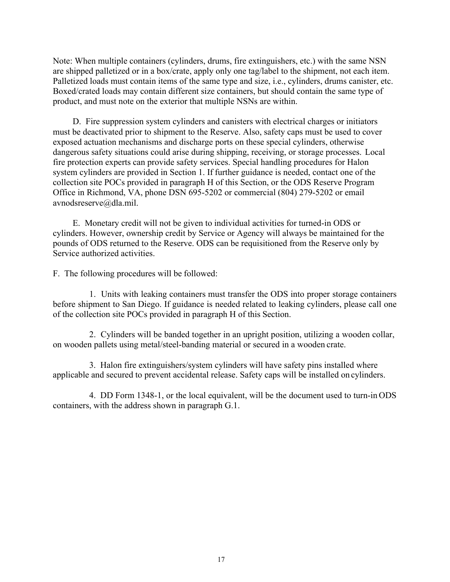Note: When multiple containers (cylinders, drums, fire extinguishers, etc.) with the same NSN are shipped palletized or in a box/crate, apply only one tag/label to the shipment, not each item. Palletized loads must contain items of the same type and size, i.e., cylinders, drums canister, etc. Boxed/crated loads may contain different size containers, but should contain the same type of product, and must note on the exterior that multiple NSNs are within.

D. Fire suppression system cylinders and canisters with electrical charges or initiators must be deactivated prior to shipment to the Reserve. Also, safety caps must be used to cover exposed actuation mechanisms and discharge ports on these special cylinders, otherwise dangerous safety situations could arise during shipping, receiving, or storage processes. Local fire protection experts can provide safety services. Special handling procedures for Halon system cylinders are provided in Section 1. If further guidance is needed, contact one of the collection site POCs provided in paragraph H of this Section, or the ODS Reserve Program Office in Richmond, VA, phone DSN 695-5202 or commercial (804) 279-5202 or emai[l](mailto:avnodsreserve@dla.mil) [avnodsreserve@dla.mil.](mailto:avnodsreserve@dla.mil)

E. Monetary credit will not be given to individual activities for turned-in ODS or cylinders. However, ownership credit by Service or Agency will always be maintained for the pounds of ODS returned to the Reserve. ODS can be requisitioned from the Reserve only by Service authorized activities.

F. The following procedures will be followed:

1. Units with leaking containers must transfer the ODS into proper storage containers before shipment to San Diego. If guidance is needed related to leaking cylinders, please call one of the collection site POCs provided in paragraph H of this Section.

2. Cylinders will be banded together in an upright position, utilizing a wooden collar, on wooden pallets using metal/steel-banding material or secured in a wooden crate.

3. Halon fire extinguishers/system cylinders will have safety pins installed where applicable and secured to prevent accidental release. Safety caps will be installed on cylinders.

4. DD Form 1348-1, or the local equivalent, will be the document used to turn-in ODS containers, with the address shown in paragraph G.1.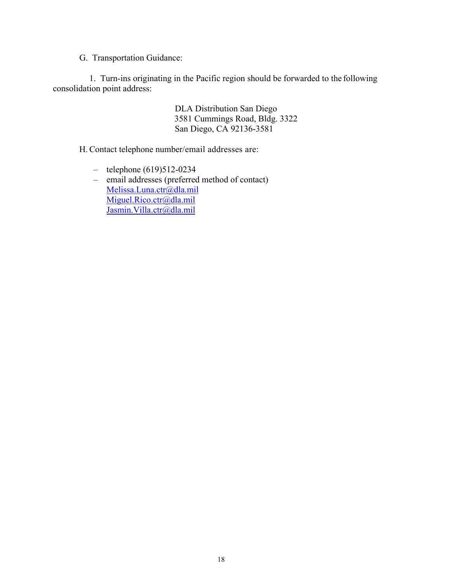G. Transportation Guidance:

1. Turn-ins originating in the Pacific region should be forwarded to the following consolidation point address:

> DLA Distribution San Diego 3581 Cummings Road, Bldg. 3322 San Diego, CA 92136-3581

H. Contact telephone number/email addresses are:

- telephone (619)512-0234
- email addresses (preferred method of contact) [Melissa.Luna.ctr@dla.mil](mailto:Melissa.Luna.ctr@dla.mil) [Miguel.Rico.ctr@dla.mil](mailto:Miguel.Rico.ctr@dla.mil) [Jasmin.Villa.ctr@dla.mil](mailto:Jasmin.Villa.ctr@dla.mil)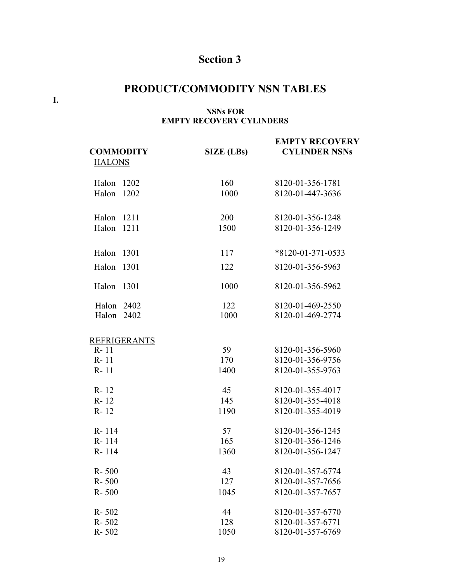## **PRODUCT/COMMODITY NSN TABLES**

**I.**

### **NSNs FOR EMPTY RECOVERY CYLINDERS**

| <b>COMMODITY</b>    | <b>SIZE</b> (LBs) | <b>EMPTY RECOVERY</b><br><b>CYLINDER NSNs</b> |
|---------------------|-------------------|-----------------------------------------------|
| <b>HALONS</b>       |                   |                                               |
| 1202<br>Halon       | 160               | 8120-01-356-1781                              |
| Halon<br>1202       | 1000              | 8120-01-447-3636                              |
| Halon<br>1211       | 200               | 8120-01-356-1248                              |
| Halon 1211          | 1500              | 8120-01-356-1249                              |
| Halon<br>1301       | 117               | $*8120 - 01 - 371 - 0533$                     |
| Halon<br>1301       | 122               | 8120-01-356-5963                              |
| Halon<br>1301       | 1000              | 8120-01-356-5962                              |
| Halon 2402          | 122               | 8120-01-469-2550                              |
| Halon 2402          | 1000              | 8120-01-469-2774                              |
| <b>REFRIGERANTS</b> |                   |                                               |
| $R - 11$            | 59                | 8120-01-356-5960                              |
| $R - 11$            | 170               | 8120-01-356-9756                              |
| $R - 11$            | 1400              | 8120-01-355-9763                              |
| $R - 12$            | 45                | 8120-01-355-4017                              |
| $R - 12$            | 145               | 8120-01-355-4018                              |
| $R - 12$            | 1190              | 8120-01-355-4019                              |
| R-114               | 57                | 8120-01-356-1245                              |
| R-114               | 165               | 8120-01-356-1246                              |
| R-114               | 1360              | 8120-01-356-1247                              |
| $R - 500$           | 43                | 8120-01-357-6774                              |
| $R - 500$           | 127               | 8120-01-357-7656                              |
| R-500               | 1045              | 8120-01-357-7657                              |
| $R - 502$           | 44                | 8120-01-357-6770                              |
| $R - 502$           | 128               | 8120-01-357-6771                              |
| R-502               | 1050              | 8120-01-357-6769                              |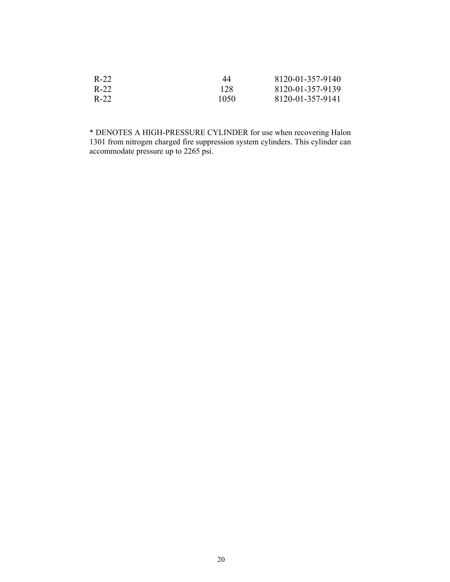| $R-22$ | 44   | 8120-01-357-9140 |
|--------|------|------------------|
| $R-22$ | 128  | 8120-01-357-9139 |
| R-22   | 1050 | 8120-01-357-9141 |

\* DENOTES A HIGH-PRESSURE CYLINDER for use when recovering Halon 1301 from nitrogen charged fire suppression system cylinders. This cylinder can accommodate pressure up to 2265 psi.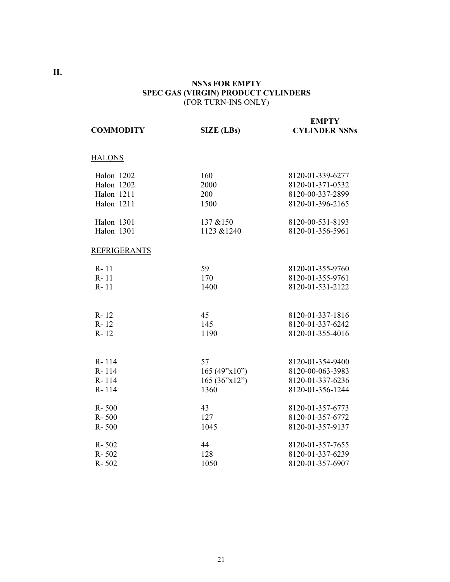### **NSNs FOR EMPTY SPEC GAS (VIRGIN) PRODUCT CYLINDERS**  (FOR TURN-INS ONLY)

| <b>COMMODITY</b>    | <b>SIZE</b> (LBs) | <b>EMPTY</b><br><b>CYLINDER NSNs</b> |
|---------------------|-------------------|--------------------------------------|
| <b>HALONS</b>       |                   |                                      |
| Halon 1202          | 160               | 8120-01-339-6277                     |
| Halon 1202          | 2000              | 8120-01-371-0532                     |
| <b>Halon</b> 1211   | 200               | 8120-00-337-2899                     |
| Halon 1211          | 1500              | 8120-01-396-2165                     |
| Halon 1301          | 137 & 150         | 8120-00-531-8193                     |
| Halon 1301          | 1123 & 1240       | 8120-01-356-5961                     |
| <b>REFRIGERANTS</b> |                   |                                      |
| $R - 11$            | 59                | 8120-01-355-9760                     |
| $R - 11$            | 170               | 8120-01-355-9761                     |
| $R - 11$            | 1400              | 8120-01-531-2122                     |
|                     |                   |                                      |
| R-12                | 45                | 8120-01-337-1816                     |
| $R - 12$<br>R-12    | 145<br>1190       | 8120-01-337-6242<br>8120-01-355-4016 |
|                     |                   |                                      |
| R-114               | 57                | 8120-01-354-9400                     |
| R-114               | 165 (49"x10")     | 8120-00-063-3983                     |
| R-114               | 165 (36"x12")     | 8120-01-337-6236                     |
| R-114               | 1360              | 8120-01-356-1244                     |
| R-500               | 43                | 8120-01-357-6773                     |
| $R - 500$           | 127               | 8120-01-357-6772                     |
| $R - 500$           | 1045              | 8120-01-357-9137                     |
| R-502               | 44                | 8120-01-357-7655                     |
| R-502               | 128               | 8120-01-337-6239                     |
| R-502               | 1050              | 8120-01-357-6907                     |

**II.**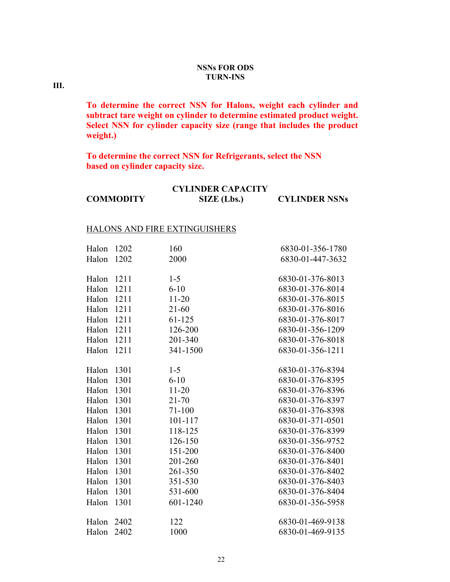### **NSNs FOR ODS TURN-INS**

**III.**

**To determine the correct NSN for Halons, weight each cylinder and subtract tare weight on cylinder to determine estimated product weight. Select NSN for cylinder capacity size (range that includes the product weight.)** 

**To determine the correct NSN for Refrigerants, select the NSN based on cylinder capacity size.**

|                  | <b>CYLINDER CAPACITY</b> |                      |
|------------------|--------------------------|----------------------|
| <b>COMMODITY</b> | SIZE (Lbs.)              | <b>CYLINDER NSNs</b> |

#### HALONS AND FIRE EXTINGUISHERS

| Halon | 1202 | 160        | 6830-01-356-1780 |
|-------|------|------------|------------------|
| Halon | 1202 | 2000       | 6830-01-447-3632 |
|       |      |            |                  |
| Halon | 1211 | $1 - 5$    | 6830-01-376-8013 |
| Halon | 1211 | $6 - 10$   | 6830-01-376-8014 |
| Halon | 1211 | $11 - 20$  | 6830-01-376-8015 |
| Halon | 1211 | $21 - 60$  | 6830-01-376-8016 |
| Halon | 1211 | $61 - 125$ | 6830-01-376-8017 |
| Halon | 1211 | 126-200    | 6830-01-356-1209 |
| Halon | 1211 | 201-340    | 6830-01-376-8018 |
| Halon | 1211 | 341-1500   | 6830-01-356-1211 |
|       |      |            |                  |
| Halon | 1301 | $1 - 5$    | 6830-01-376-8394 |
| Halon | 1301 | $6 - 10$   | 6830-01-376-8395 |
| Halon | 1301 | $11 - 20$  | 6830-01-376-8396 |
| Halon | 1301 | $21 - 70$  | 6830-01-376-8397 |
| Halon | 1301 | $71 - 100$ | 6830-01-376-8398 |
| Halon | 1301 | 101-117    | 6830-01-371-0501 |
| Halon | 1301 | 118-125    | 6830-01-376-8399 |
| Halon | 1301 | 126-150    | 6830-01-356-9752 |
| Halon | 1301 | 151-200    | 6830-01-376-8400 |
| Halon | 1301 | 201-260    | 6830-01-376-8401 |
| Halon | 1301 | 261-350    | 6830-01-376-8402 |
| Halon | 1301 | 351-530    | 6830-01-376-8403 |
| Halon | 1301 | 531-600    | 6830-01-376-8404 |
| Halon | 1301 | 601-1240   | 6830-01-356-5958 |
|       |      |            |                  |
| Halon | 2402 | 122        | 6830-01-469-9138 |
| Halon | 2402 | 1000       | 6830-01-469-9135 |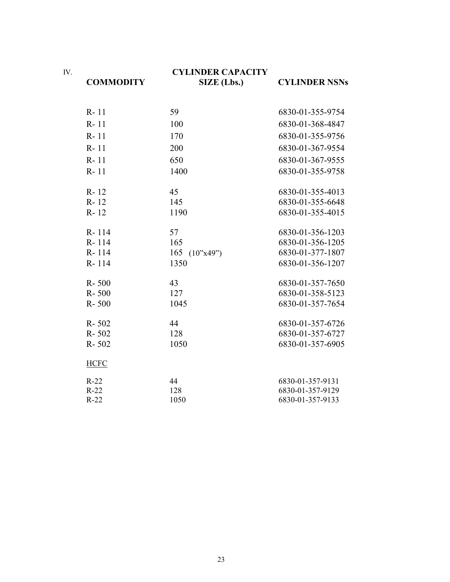IV.

**COMMODITY**

### **CYLINDER CAPACITY SIZE (Lbs.) CYLINDER NSNs**

| R-11        | 59              | 6830-01-355-9754 |
|-------------|-----------------|------------------|
| R-11        | 100             | 6830-01-368-4847 |
| R-11        | 170             | 6830-01-355-9756 |
| $R - 11$    | 200             | 6830-01-367-9554 |
| $R - 11$    | 650             | 6830-01-367-9555 |
| $R - 11$    | 1400            | 6830-01-355-9758 |
| R-12        | 45              | 6830-01-355-4013 |
| R-12        | 145             | 6830-01-355-6648 |
| $R - 12$    | 1190            | 6830-01-355-4015 |
| R-114       | 57              | 6830-01-356-1203 |
| R-114       | 165             | 6830-01-356-1205 |
| R-114       | 165 $(10"x49")$ | 6830-01-377-1807 |
| R-114       | 1350            | 6830-01-356-1207 |
| R-500       | 43              | 6830-01-357-7650 |
| $R - 500$   | 127             | 6830-01-358-5123 |
| $R - 500$   | 1045            | 6830-01-357-7654 |
| $R - 502$   | 44              | 6830-01-357-6726 |
| R-502       | 128             | 6830-01-357-6727 |
| $R - 502$   | 1050            | 6830-01-357-6905 |
| <b>HCFC</b> |                 |                  |
| $R-22$      | 44              | 6830-01-357-9131 |
| $R-22$      | 128             | 6830-01-357-9129 |
| $R-22$      | 1050            | 6830-01-357-9133 |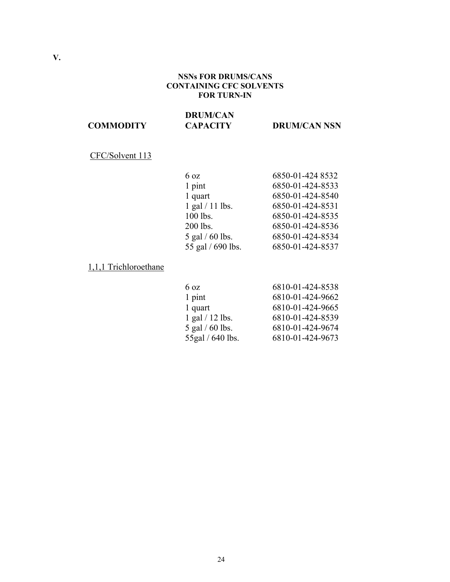### **NSNs FOR DRUMS/CANS CONTAINING CFC SOLVENTS FOR TURN-IN**

#### **COMMODITY DRUM/CAN CAPACITY DRUM/CAN NSN**

## CFC/Solvent 113

| $6 \text{ oz}$     | 6850-01-424 8532 |
|--------------------|------------------|
| 1 pint             | 6850-01-424-8533 |
| 1 quart            | 6850-01-424-8540 |
| $1$ gal $/11$ lbs. | 6850-01-424-8531 |
| 100 lbs.           | 6850-01-424-8535 |
| 200 lbs.           | 6850-01-424-8536 |
| 5 gal $/$ 60 lbs.  | 6850-01-424-8534 |
| 55 gal / 690 lbs.  | 6850-01-424-8537 |

### 1,1,1 Trichloroethane

| 6810-01-424-8538 |
|------------------|
| 6810-01-424-9662 |
| 6810-01-424-9665 |
| 6810-01-424-8539 |
| 6810-01-424-9674 |
| 6810-01-424-9673 |
|                  |

**V.**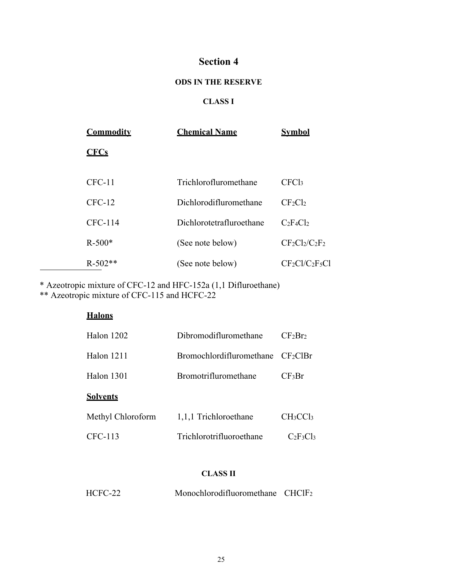### **ODS IN THE RESERVE**

## **CLASS I**

| <b>Commodity</b> | <b>Chemical Name</b>     | Svmbol            |
|------------------|--------------------------|-------------------|
| <b>CFCs</b>      |                          |                   |
|                  |                          |                   |
| $CFC-11$         | Trichlorofluromethane    | CFC <sub>13</sub> |
| $CFC-12$         | Dichlorodifluromethane   | $CF_2Cl_2$        |
| <b>CFC-114</b>   | Dichlorotetrafluroethane | $C_2F_4Cl_2$      |
| $R - 500*$       | (See note below)         | $CF_2Cl_2/C_2F_2$ |
| $R-502**$        | (See note below)         | $CF_2Cl/C_2F_5Cl$ |

\* Azeotropic mixture of CFC-12 and HFC-152a (1,1 Difluroethane)

\*\* Azeotropic mixture of CFC-115 and HCFC-22

| <b>Halons</b>     |                                               |                                  |
|-------------------|-----------------------------------------------|----------------------------------|
| Halon 1202        | Dibromodifluromethane                         | CF <sub>2</sub> Br <sub>2</sub>  |
| Halon 1211        | Bromochlordifluromethane CF <sub>2</sub> ClBr |                                  |
| Halon 1301        | <b>Bromotrifluromethane</b>                   | $CF_3Br$                         |
| <b>Solvents</b>   |                                               |                                  |
| Methyl Chloroform | 1,1,1 Trichloroethane                         | CH <sub>3</sub> CC <sub>13</sub> |
| CFC-113           | Trichlorotrifluoroethane                      | $C_2F_3Cl_3$                     |
|                   |                                               |                                  |

## **CLASS II**

| HCFC-22 | Monochlorodifluoromethane $CHCIF2$ |  |
|---------|------------------------------------|--|
|---------|------------------------------------|--|